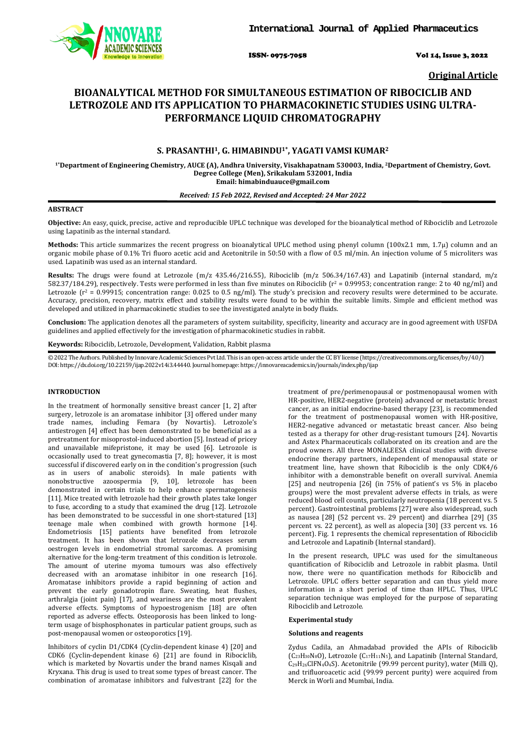

ISSN- 0975-7058 Vol 14, Issue 3, 2022

**Original Article**

# **BIOANALYTICAL METHOD FOR SIMULTANEOUS ESTIMATION OF RIBOCICLIB AND LETROZOLE AND ITS APPLICATION TO PHARMACOKINETIC STUDIES USING ULTRA-PERFORMANCE LIQUID CHROMATOGRAPHY**

# **S. PRASANTHI1, G. HIMABINDU1\*, YAGATI VAMSI KUMAR2**

**1\*Department of Engineering Chemistry, AUCE (A), Andhra University, Visakhapatnam 530003, India, 2Department of Chemistry, Govt. Degree College (Men), Srikakulam 532001, India Email: himabinduauce@gmail.com**

### *Received: 15 Feb 2022, Revised and Accepted: 24 Mar 2022*

### **ABSTRACT**

**Objective:** An easy, quick, precise, active and reproducible UPLC technique was developed for the bioanalytical method of Ribociclib and Letrozole using Lapatinib as the internal standard.

**Methods:** This article summarizes the recent progress on bioanalytical UPLC method using phenyl column (100x2.1 mm, 1.7µ) column and an organic mobile phase of 0.1% Tri fluoro acetic acid and Acetonitrile in 50:50 with a flow of 0.5 ml/min. An injection volume of 5 microliters was used. Lapatinib was used as an internal standard.

**Results:** The drugs were found at Letrozole (m/z 435.46/216.55), Ribociclib (m/z 506.34/167.43) and Lapatinib (internal standard, m/z 582.37/184.29), respectively. Tests were performed in less than five minutes on Ribociclib ( $r^2$  = 0.99953; concentration range: 2 to 40 ng/ml) and Letrozole ( $r^2$  = 0.99915; concentration range: 0.025 to 0.5 ng/ml). The study's precision and recovery results were determined to be accurate. Accuracy, precision, recovery, matrix effect and stability results were found to be within the suitable limits. Simple and efficient method was developed and utilized in pharmacokinetic studies to see the investigated analyte in body fluids.

**Conclusion:** The application denotes all the parameters of system suitability, specificity, linearity and accuracy are in good agreement with USFDA guidelines and applied effectively for the investigation of pharmacokinetic studies in rabbit.

**Keywords:** Ribociclib, Letrozole, Development, Validation, Rabbit plasma

© 2022 The Authors. Published by Innovare Academic Sciences Pvt Ltd. This is an open-access article under the CC BY license [\(https://creativecommons.org/licenses/by/4.0/\)](https://creativecommons.org/licenses/by/4.0/) DOI: https://dx.doi.org/10.22159/ijap.2022v14i3.44440. Journal homepage[: https://innovareacademics.in/journals/index.php/ijap](https://innovareacademics.in/journals/index.php/ijap)

#### **INTRODUCTION**

In the treatment of hormonally sensitive breast cancer [1, 2] after surgery, letrozole is an aromatase inhibitor [3] offered under many trade names, including Femara (by Novartis). Letrozole's antiestrogen [4] effect has been demonstrated to be beneficial as a pretreatment for misoprostol-induced abortion [5]. Instead of pricey and unavailable mifepristone, it may be used [6]. Letrozole is occasionally used to treat gynecomastia [7, 8]; however, it is most successful if discovered early on in the condition's progression (such as in users of anabolic steroids). In male patients with nonobstructive azoospermia [9, 10], letrozole has been demonstrated in certain trials to help enhance spermatogenesis [11]. Mice treated with letrozole had their growth plates take longer to fuse, according to a study that examined the drug [12]. Letrozole has been demonstrated to be successful in one short-statured [13] teenage male when combined with growth hormone [14]. Endometriosis [15] patients have benefited from letrozole treatment. It has been shown that letrozole decreases serum oestrogen levels in endometrial stromal sarcomas. A promising alternative for the long-term treatment of this condition is letrozole. The amount of uterine myoma tumours was also effectively decreased with an aromatase inhibitor in one research [16]. Aromatase inhibitors provide a rapid beginning of action and prevent the early gonadotropin flare. Sweating, heat flushes, arthralgia (joint pain) [17], and weariness are the most prevalent adverse effects. Symptoms of hypoestrogenism [18] are often reported as adverse effects. Osteoporosis has been linked to longterm usage of bisphosphonates in particular patient groups, such as post-menopausal women or osteoporotics [19].

Inhibitors of cyclin D1/CDK4 (Cyclin-dependent kinase 4) [20] and CDK6 (Cyclin-dependent kinase 6) [21] are found in Ribociclib, which is marketed by Novartis under the brand names Kisqali and Kryxana. This drug is used to treat some types of breast cancer. The combination of aromatase inhibitors and fulvestrant [22] for the

treatment of pre/perimenopausal or postmenopausal women with HR-positive, HER2-negative (protein) advanced or metastatic breast cancer, as an initial endocrine-based therapy [23], is recommended for the treatment of postmenopausal women with HR-positive, HER2-negative advanced or metastatic breast cancer. Also being tested as a therapy for other drug-resistant tumours [24]. Novartis and Astex Pharmaceuticals collaborated on its creation and are the proud owners. All three MONALEESA clinical studies with diverse endocrine therapy partners, independent of menopausal state or treatment line, have shown that Ribociclib is the only CDK4/6 inhibitor with a demonstrable benefit on overall survival. Anemia [25] and neutropenia [26] (in 75% of patient's vs 5% in placebo groups) were the most prevalent adverse effects in trials, as were reduced blood cell counts, particularly neutropenia (18 percent vs. 5 percent). Gastrointestinal problems [27] were also widespread, such as nausea [28] (52 percent vs. 29 percent) and diarrhea [29] (35 percent vs. 22 percent), as well as alopecia [30] (33 percent vs. 16 percent). Fig. 1 represents the chemical representation of Ribociclib and Letrozole and Lapatinib (Internal standard).

In the present research, UPLC was used for the simultaneous quantification of Ribociclib and Letrozole in rabbit plasma. Until now, there were no quantification methods for Ribociclib and Letrozole. UPLC offers better separation and can thus yield more information in a short period of time than HPLC. Thus, UPLC separation technique was employed for the purpose of separating Ribociclib and Letrozole.

#### **Experimental study**

#### **Solutions and reagents**

Zydus Cadila, an Ahmadabad provided the APIs of Ribociclib  $(C_{23}H_{30}N_8O)$ , Letrozole  $(C_{17}H_{11}N_5)$ , and Lapatinib (Internal Standard, C29H26ClFN4O4S). Acetonitrile (99.99 percent purity), water (Milli Q), and trifluoroacetic acid (99.99 percent purity) were acquired from Merck in Worli and Mumbai, India.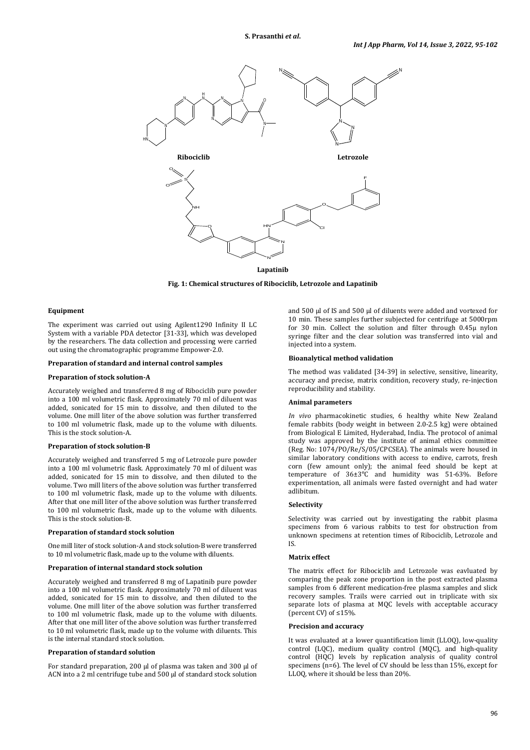

#### **Lapatinib**

**Fig. 1: Chemical structures of Ribociclib, Letrozole and Lapatinib**

### **Equipment**

The experiment was carried out using Agilent1290 Infinity II LC System with a variable PDA detector [31-33], which was developed by the researchers. The data collection and processing were carried out using the chromatographic programme Empower-2.0.

#### **Preparation of standard and internal control samples**

#### **Preparation of stock solution-A**

Accurately weighed and transferred 8 mg of Ribociclib pure powder into a 100 ml volumetric flask. Approximately 70 ml of diluent was added, sonicated for 15 min to dissolve, and then diluted to the volume. One mill liter of the above solution was further transferred to 100 ml volumetric flask, made up to the volume with diluents. This is the stock solution-A.

#### **Preparation of stock solution-B**

Accurately weighed and transferred 5 mg of Letrozole pure powder into a 100 ml volumetric flask. Approximately 70 ml of diluent was added, sonicated for 15 min to dissolve, and then diluted to the volume. Two mill liters of the above solution was further transferred to 100 ml volumetric flask, made up to the volume with diluents. After that one mill liter of the above solution was further transferred to 100 ml volumetric flask, made up to the volume with diluents. This is the stock solution-B.

#### **Preparation of standard stock solution**

One mill liter of stock solution-A and stock solution-B were transferred to 10 ml volumetric flask, made up to the volume with diluents.

### **Preparation of internal standard stock solution**

Accurately weighed and transferred 8 mg of Lapatinib pure powder into a 100 ml volumetric flask. Approximately 70 ml of diluent was added, sonicated for 15 min to dissolve, and then diluted to the volume. One mill liter of the above solution was further transferred to 100 ml volumetric flask, made up to the volume with diluents. After that one mill liter of the above solution was further transferred to 10 ml volumetric flask, made up to the volume with diluents. This is the internal standard stock solution.

### **Preparation of standard solution**

For standard preparation, 200 µl of plasma was taken and 300 µl of ACN into a 2 ml centrifuge tube and 500 µl of standard stock solution

and 500 ul of IS and 500 ul of diluents were added and vortexed for 10 min. These samples further subjected for centrifuge at 5000rpm for 30 min. Collect the solution and filter through 0.45µ nylon syringe filter and the clear solution was transferred into vial and injected into a system.

#### **Bioanalytical method validation**

The method was validated [34-39] in selective, sensitive, linearity, accuracy and precise, matrix condition, recovery study, re-injection reproducibility and stability.

### **Animal parameters**

*In vivo* pharmacokinetic studies, 6 healthy white New Zealand female rabbits (body weight in between 2.0-2.5 kg) were obtained from Biological E Limited, Hyderabad, India. The protocol of animal study was approved by the institute of animal ethics committee (Reg. No: 1074/PO/Re/S/05/CPCSEA). The animals were housed in similar laboratory conditions with access to endive, carrots, fresh corn (few amount only); the animal feed should be kept at temperature of  $36\pm3\degree$ C and humidity was 51-63%. Before experimentation, all animals were fasted overnight and had water adlibitum.

#### **Selectivity**

Selectivity was carried out by investigating the rabbit plasma specimens from 6 various rabbits to test for obstruction from unknown specimens at retention times of Ribociclib, Letrozole and IS.

### **Matrix effect**

The matrix effect for Ribociclib and Letrozole was eavluated by comparing the peak zone proportion in the post extracted plasma samples from 6 different medication-free plasma samples and slick recovery samples. Trails were carried out in triplicate with six separate lots of plasma at MQC levels with acceptable accuracy (percent CV) of ≤15%.

#### **Precision and accuracy**

It was evaluated at a lower quantification limit (LLOQ), low-quality control (LQC), medium quality control (MQC), and high-quality control (HQC) levels by replication analysis of quality control specimens (n=6). The level of CV should be less than 15%, except for LLOQ, where it should be less than 20%.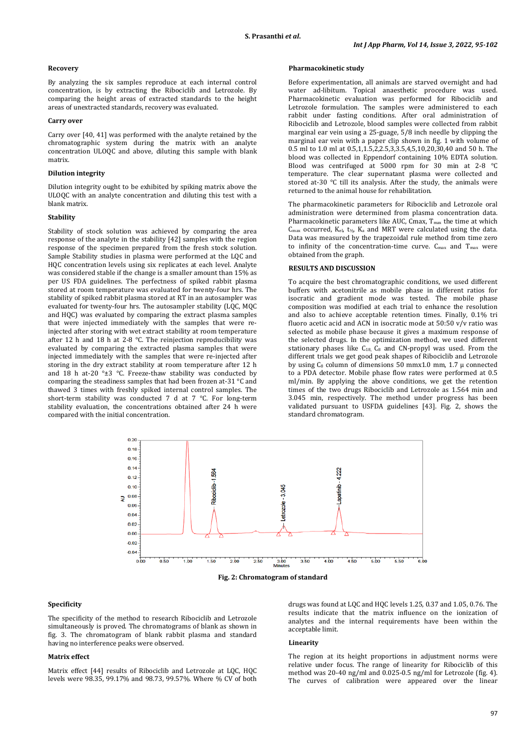#### **Recovery**

By analyzing the six samples reproduce at each internal control concentration, is by extracting the Ribociclib and Letrozole. By comparing the height areas of extracted standards to the height areas of unextracted standards, recovery was evaluated.

#### **Carry over**

Carry over [40, 41] was performed with the analyte retained by the chromatographic system during the matrix with an analyte concentration ULOQC and above, diluting this sample with blank matrix.

### **Dilution integrity**

Dilution integrity ought to be exhibited by spiking matrix above the ULOQC with an analyte concentration and diluting this test with a blank matrix.

#### **Stability**

Stability of stock solution was achieved by comparing the area response of the analyte in the stability [42] samples with the region response of the specimen prepared from the fresh stock solution. Sample Stability studies in plasma were performed at the LQC and HQC concentration levels using six replicates at each level. Analyte was considered stable if the change is a smaller amount than 15% as per US FDA guidelines. The perfectness of spiked rabbit plasma stored at room temperature was evaluated for twenty-four hrs. The stability of spiked rabbit plasma stored at RT in an autosampler was evaluated for twenty-four hrs. The autosampler stability (LQC, MQC and HQC) was evaluated by comparing the extract plasma samples that were injected immediately with the samples that were reinjected after storing with wet extract stability at room temperature after 12 h and 18 h at 2-8 °C. The reinjection reproducibility was evaluated by comparing the extracted plasma samples that were injected immediately with the samples that were re-injected after storing in the dry extract stability at room temperature after 12 h and 18 h at-20  $^{\circ}$ ±3  $^{\circ}$ C. Freeze-thaw stability was conducted by comparing the steadiness samples that had been frozen at-31 °C and thawed 3 times with freshly spiked internal control samples. The short-term stability was conducted 7 d at 7 °C. For long-term stability evaluation, the concentrations obtained after 24 h were compared with the initial concentration.

#### **Pharmacokinetic study**

Before experimentation, all animals are starved overnight and had water ad-libitum. Topical anaesthetic procedure was used. Pharmacokinetic evaluation was performed for Ribociclib and Letrozole formulation. The samples were administered to each rabbit under fasting conditions. After oral administration of Ribociclib and Letrozole, blood samples were collected from rabbit marginal ear vein using a 25-guage, 5/8 inch needle by clipping the marginal ear vein with a paper clip shown in fig. 1 with volume of 0.5 ml to 1.0 ml at 0.5,1,1.5,2,2.5,3,3.5,4,5,10,20,30,40 and 50 h. The blood was collected in Eppendorf containing 10% EDTA solution. Blood was centrifuged at 5000 rpm for 30 min at 2-8 °C temperature. The clear supernatant plasma were collected and stored at-30 °C till its analysis. After the study, the animals were returned to the animal house for rehabilitation.

The pharmacokinetic parameters for Ribociclib and Letrozole oral administration were determined from plasma concentration data. Pharmacokinetic parameters like AUC, Cmax,  $T_{\text{max}}$  the time at which  $C_{\text{max}}$  occurred,  $K_{\text{el}}$ ,  $t_{\frac{1}{2}}$ ,  $K_{\text{a}}$  and MRT were calculated using the data. Data was measured by the trapezoidal rule method from time zero to infinity of the concentration-time curve.  $C_{\text{max}}$  and  $T_{\text{max}}$  were obtained from the graph.

### **RESULTS AND DISCUSSION**

To acquire the best chromatographic conditions, we used different buffers with acetonitrile as mobile phase in different ratios for isocratic and gradient mode was tested. The mobile phase composition was modified at each trial to enhance the resolution and also to achieve acceptable retention times. Finally, 0.1% tri fluoro acetic acid and ACN in isocratic mode at 50:50 v/v ratio was selected as mobile phase because it gives a maximum response of the selected drugs. In the optimization method, we used different stationary phases like  $C_{18}$ ,  $C_8$  and CN-propyl was used. From the different trials we get good peak shapes of Ribociclib and Letrozole by using  $C_8$  column of dimensions 50 mmx1.0 mm, 1.7  $\mu$  connected to a PDA detector. Mobile phase flow rates were performed at 0.5 ml/min. By applying the above conditions, we get the retention times of the two drugs Ribociclib and Letrozole as 1.564 min and 3.045 min, respectively. The method under progress has been validated pursuant to USFDA guidelines [43]. Fig. 2, shows the standard chromatogram.





### **Specificity**

The specificity of the method to research Ribociclib and Letrozole simultaneously is proved. The chromatograms of blank as shown in fig. 3. The chromatogram of blank rabbit plasma and standard having no interference peaks were observed.

### **Matrix effect**

Matrix effect [44] results of Ribociclib and Letrozole at LQC, HQC levels were 98.35, 99.17% and 98.73, 99.57%. Where % CV of both drugs was found at LQC and HQC levels 1.25, 0.37 and 1.05, 0.76. The results indicate that the matrix influence on the ionization of analytes and the internal requirements have been within the acceptable limit.

#### **Linearity**

The region at its height proportions in adjustment norms were relative under focus. The range of linearity for Ribociclib of this method was 20-40 ng/ml and 0.025-0.5 ng/ml for Letrozole (fig. 4). The curves of calibration were appeared over the linear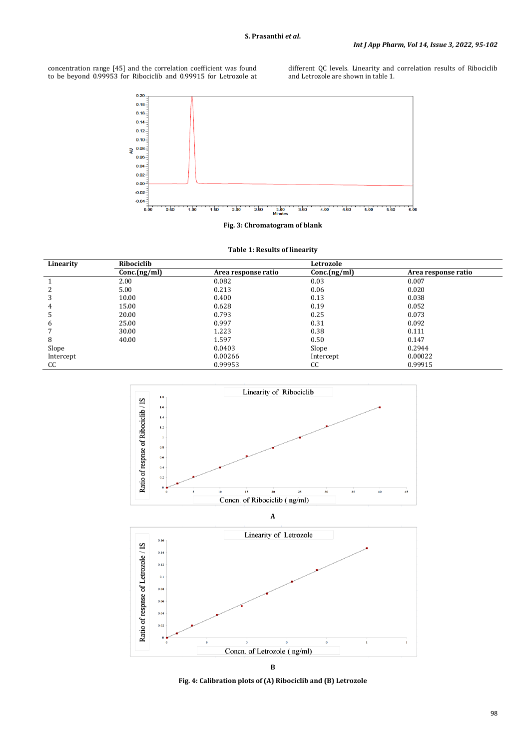concentration range [45] and the correlation coefficient was found to be beyond 0.99953 for Ribociclib and 0.99915 for Letrozole at different QC levels. Linearity and correlation results of Ribociclib and Letrozole are shown in table 1.



**Fig. 3: Chromatogram of blank**

| Table 1: Results of linearity |  |  |  |  |  |  |
|-------------------------------|--|--|--|--|--|--|
|-------------------------------|--|--|--|--|--|--|

| Linearity | Ribociclib   |                     | Letrozole   |                     |  |
|-----------|--------------|---------------------|-------------|---------------------|--|
|           | Conc.(ng/ml) | Area response ratio | Conc(ng/ml) | Area response ratio |  |
|           | 2.00         | 0.082               | 0.03        | 0.007               |  |
| 2         | 5.00         | 0.213               | 0.06        | 0.020               |  |
| 3         | 10.00        | 0.400               | 0.13        | 0.038               |  |
| 4         | 15.00        | 0.628               | 0.19        | 0.052               |  |
| Ь         | 20.00        | 0.793               | 0.25        | 0.073               |  |
| 6         | 25.00        | 0.997               | 0.31        | 0.092               |  |
|           | 30.00        | 1.223               | 0.38        | 0.111               |  |
| 8         | 40.00        | 1.597               | 0.50        | 0.147               |  |
| Slope     |              | 0.0403              | Slope       | 0.2944              |  |
| Intercept |              | 0.00266             | Intercept   | 0.00022             |  |
| CC        |              | 0.99953             | CC          | 0.99915             |  |





**Fig. 4: Calibration plots of (A) Ribociclib and (B) Letrozole**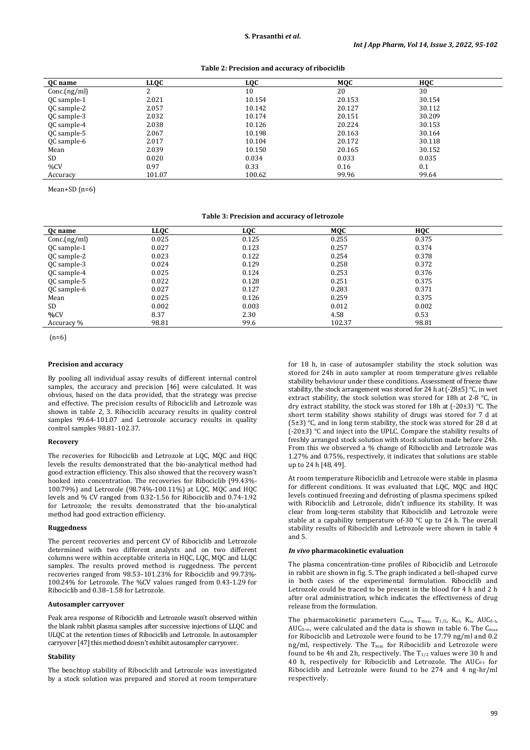#### **Table 2: Precision and accuracy of ribociclib**

| <b>OC</b> name | LLQC   | LOC    | MOC    | нос    |  |
|----------------|--------|--------|--------|--------|--|
| Conc.(ng/ml)   |        | 10     | 20     | 30     |  |
| QC sample-1    | 2.021  | 10.154 | 20.153 | 30.154 |  |
| QC sample-2    | 2.057  | 10.142 | 20.127 | 30.112 |  |
| QC sample-3    | 2.032  | 10.174 | 20.151 | 30.209 |  |
| QC sample-4    | 2.038  | 10.126 | 20.224 | 30.153 |  |
| QC sample-5    | 2.067  | 10.198 | 20.163 | 30.164 |  |
| QC sample-6    | 2.017  | 10.104 | 20.172 | 30.118 |  |
| Mean           | 2.039  | 10.150 | 20.165 | 30.152 |  |
| SD             | 0.020  | 0.034  | 0.033  | 0.035  |  |
| %CV            | 0.97   | 0.33   | 0.16   | 0.1    |  |
| Accuracy       | 101.07 | 100.62 | 99.96  | 99.64  |  |

Mean+SD (n=6)

#### **Table 3: Precision and accuracy of letrozole**

| Oc name      | <b>LLQC</b> | <b>LQC</b> | MQC    | <b>HQC</b> |  |
|--------------|-------------|------------|--------|------------|--|
| Conc.(ng/ml) | 0.025       | 0.125      | 0.255  | 0.375      |  |
| QC sample-1  | 0.027       | 0.123      | 0.257  | 0.374      |  |
| QC sample-2  | 0.023       | 0.122      | 0.254  | 0.378      |  |
| QC sample-3  | 0.024       | 0.129      | 0.258  | 0.372      |  |
| QC sample-4  | 0.025       | 0.124      | 0.253  | 0.376      |  |
| QC sample-5  | 0.022       | 0.128      | 0.251  | 0.375      |  |
| QC sample-6  | 0.027       | 0.127      | 0.283  | 0.371      |  |
| Mean         | 0.025       | 0.126      | 0.259  | 0.375      |  |
| SD.          | 0.002       | 0.003      | 0.012  | 0.002      |  |
| %CV          | 8.37        | 2.30       | 4.58   | 0.53       |  |
| Accuracy %   | 98.81       | 99.6       | 102.37 | 98.81      |  |

(n=6)

### **Precision and accuracy**

By pooling all individual assay results of different internal control samples, the accuracy and precision [46] were calculated. It was obvious, based on the data provided, that the strategy was precise and effective. The precision results of Ribociclib and Letrozole was shown in table 2, 3. Ribociclib accuracy results in quality control samples 99.64-101.07 and Letrozole accuracy results in quality control samples 98.81-102.37.

#### **Recovery**

The recoveries for Ribociclib and Letrozole at LQC, MQC and HQC levels the results demonstrated that the bio-analytical method had good extraction efficiency. This also showed that the recovery wasn't hooked into concentration. The recoveries for Ribociclib (99.43%- 100.79%) and Letrozole (98.74%-100.11%) at LQC, MQC and HQC levels and % CV ranged from 0.32-1.56 for Ribociclib and 0.74-1.92 for Letrozole; the results demonstrated that the bio-analytical method had good extraction efficiency.

### **Ruggedness**

The percent recoveries and percent CV of Ribociclib and Letrozole determined with two different analysts and on two different columns were within acceptable criteria in HQC, LQC, MQC and LLQC samples. The results proved method is ruggedness. The percent recoveries ranged from 98.53–101.23% for Ribociclib and 99.73%- 100.24% for Letrozole. The %CV values ranged from 0.43-1.29 for Ribociclib and 0.38–1.58 for Letrozole.

#### **Autosampler carryover**

Peak area response of Ribociclib and Letrozole wasn't observed within the blank rabbit plasma samples after successive injections of LLQC and ULQC at the retention times of Ribociclib and Letrozole. In autosampler carryover [47] this method doesn't exhibit autosampler carryover.

### **Stability**

The benchtop stability of Ribociclib and Letrozole was investigated by a stock solution was prepared and stored at room temperature for 18 h, in case of autosampler stability the stock solution was stored for 24h in auto sampler at room temperature gives reliable stability behaviour under these conditions. Assessment of freeze thaw stability, the stock arrangement was stored for 24 h at (-28±5)°C, in wet extract stability, the stock solution was stored for 18h at 2-8 °C, in dry extract stability, the stock was stored for 18h at (-20±3) °C. The short term stability shows stability of drugs was stored for 7 d at  $(5±3)$  °C, and in long term stability, the stock was stored for 28 d at (-20±3) °C and inject into the UPLC. Compare the stability results of freshly arranged stock solution with stock solution made before 24h. From this we observed a % change of Ribociclib and Letrozole was 1.27% and 0.75%, respectively, it indicates that solutions are stable up to 24 h [48, 49].

At room temperature Ribociclib and Letrozole were stable in plasma for different conditions. It was evaluated that LQC, MQC and HQC levels continued freezing and defrosting of plasma specimens spiked with Ribociclib and Letrozole, didn't influence its stability. It was clear from long-term stability that Ribociclib and Letrozole were stable at a capability temperature of-30 °C up to 24 h. The overall stability results of Ribociclib and Letrozole were shown in table 4 and 5.

### *In vivo* **pharmacokinetic evaluation**

The plasma concentration-time profiles of Ribociclib and Letrozole in rabbit are shown in fig. 5. The graph indicated a bell-shaped curve in both cases of the experimental formulation. Ribociclib and Letrozole could be traced to be present in the blood for 4 h and 2 h after oral administration, which indicates the effectiveness of drug release from the formulation.

The pharmacokinetic parameters  $C_{\text{max}}$ ,  $T_{\text{max}}$ ,  $T_{1/2}$ ,  $K_{\text{el}}$ ,  $K_{\text{a}}$ ,  $AUC_{0-t}$ , AUC0-∞, were calculated and the data is shown in table 6. The Cmax for Ribociclib and Letrozole were found to be 17.79 ng/ml and 0.2 ng/ml, respectively. The T<sub>max</sub> for Ribociclib and Letrozole were found to be 4h and 2h, respectively. The  $T_{1/2}$  values were 30 h and 40 h, respectively for Ribociclib and Letrozole. The AUC0-t for Ribociclib and Letrozole were found to be 274 and 4 ng-hr/ml respectively.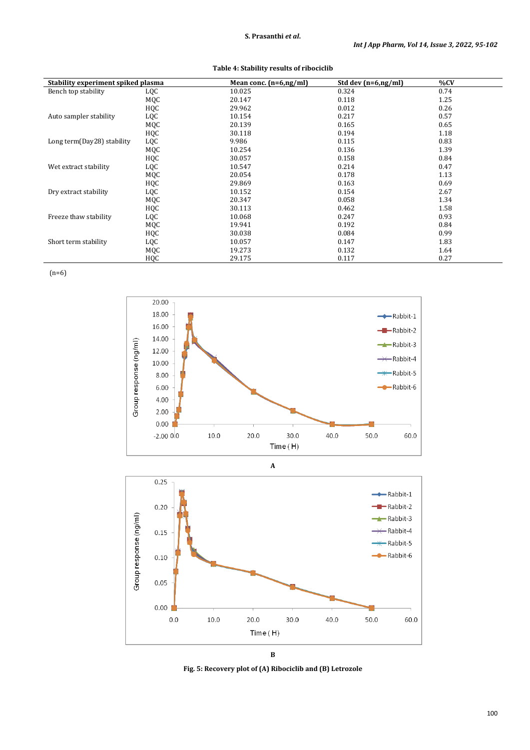| Stability experiment spiked plasma |     | Mean conc. $(n=6, ng/ml)$ | Std dev $(n=6, ng/ml)$ | %CV  |
|------------------------------------|-----|---------------------------|------------------------|------|
| Bench top stability                | LQC | 10.025                    | 0.324                  | 0.74 |
|                                    | MQC | 20.147                    | 0.118                  | 1.25 |
|                                    | HQC | 29.962                    | 0.012                  | 0.26 |
| Auto sampler stability             | LQC | 10.154                    | 0.217                  | 0.57 |
|                                    | MQC | 20.139                    | 0.165                  | 0.65 |
|                                    | HQC | 30.118                    | 0.194                  | 1.18 |
| Long term(Day28) stability         | LQC | 9.986                     | 0.115                  | 0.83 |
|                                    | MQC | 10.254                    | 0.136                  | 1.39 |
|                                    | HQC | 30.057                    | 0.158                  | 0.84 |
| Wet extract stability              | LQC | 10.547                    | 0.214                  | 0.47 |
|                                    | MQC | 20.054                    | 0.178                  | 1.13 |
|                                    | HQC | 29.869                    | 0.163                  | 0.69 |
| Dry extract stability              | LQC | 10.152                    | 0.154                  | 2.67 |
|                                    | MQC | 20.347                    | 0.058                  | 1.34 |
|                                    | HQC | 30.113                    | 0.462                  | 1.58 |
| Freeze thaw stability              | LQC | 10.068                    | 0.247                  | 0.93 |
|                                    | MQC | 19.941                    | 0.192                  | 0.84 |
|                                    | HQC | 30.038                    | 0.084                  | 0.99 |
| Short term stability               | LQC | 10.057                    | 0.147                  | 1.83 |
|                                    | MQC | 19.273                    | 0.132                  | 1.64 |
|                                    | HQC | 29.175                    | 0.117                  | 0.27 |

(n=6)







**Fig. 5: Recovery plot of (A) Ribociclib and (B) Letrozole**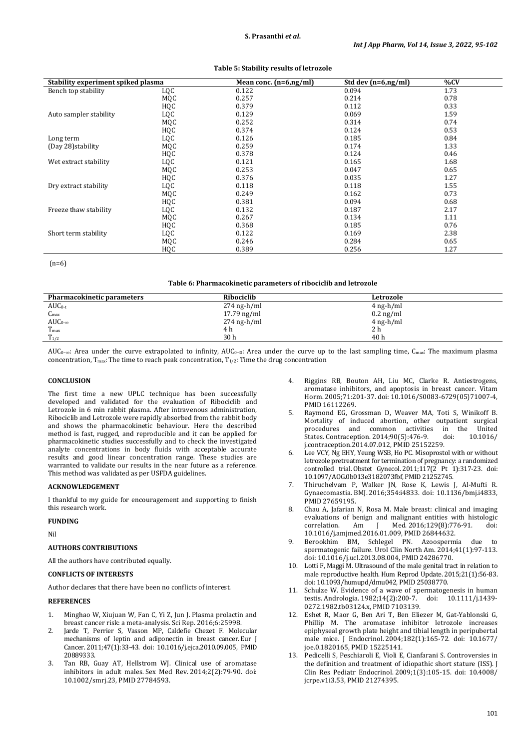| Stability experiment spiked plasma |     | Mean conc. $(n=6, ng/ml)$ | Std dev $(n=6, ng/ml)$ | %CV  |
|------------------------------------|-----|---------------------------|------------------------|------|
| Bench top stability                | LQC | 0.122                     | 0.094                  | 1.73 |
|                                    | MQC | 0.257                     | 0.214                  | 0.78 |
|                                    | HQC | 0.379                     | 0.112                  | 0.33 |
| Auto sampler stability             | LQC | 0.129                     | 0.069                  | 1.59 |
|                                    | MQC | 0.252                     | 0.314                  | 0.74 |
|                                    | HQC | 0.374                     | 0.124                  | 0.53 |
| Long term                          | LQC | 0.126                     | 0.185                  | 0.84 |
| (Day 28) stability                 | MQC | 0.259                     | 0.174                  | 1.33 |
|                                    | HQC | 0.378                     | 0.124                  | 0.46 |
| Wet extract stability              | LQC | 0.121                     | 0.165                  | 1.68 |
|                                    | MQC | 0.253                     | 0.047                  | 0.65 |
|                                    | HQC | 0.376                     | 0.035                  | 1.27 |
| Dry extract stability              | LQC | 0.118                     | 0.118                  | 1.55 |
|                                    | MQC | 0.249                     | 0.162                  | 0.73 |
|                                    | HQC | 0.381                     | 0.094                  | 0.68 |
| Freeze thaw stability              | LQC | 0.132                     | 0.187                  | 2.17 |
|                                    | MQC | 0.267                     | 0.134                  | 1.11 |
|                                    | HQC | 0.368                     | 0.185                  | 0.76 |
| Short term stability               | LQC | 0.122                     | 0.169                  | 2.38 |
|                                    | MQC | 0.246                     | 0.284                  | 0.65 |
|                                    | HQC | 0.389                     | 0.256                  | 1.27 |

**Table 5: Stability results of letrozole**

 $(n=6)$ 

#### **Table 6: Pharmacokinetic parameters of ribociclib and letrozole**

| Pharmacokinetic parameters | Ribociclib    | Letrozole           |
|----------------------------|---------------|---------------------|
| $AUC_{0-t}$                | $274$ ng-h/ml | $4$ ng-h/ml         |
| $C_{\rm max}$              | $17.79$ ng/ml | $0.2 \text{ ng/ml}$ |
| $AUC_{0-\infty}$           | $274$ ng-h/ml | $4$ ng-h/ml         |
| $T_{\rm max}$              | 4 h           | 2 h                 |
| $T_{1/2}$                  | 30h           | 40h                 |

AUC<sub>0</sub>-∞: Area under the curve extrapolated to infinity, AUC<sub>0</sub>-<sub>¤</sub>: Area under the curve up to the last sampling time, C<sub>max</sub>: The maximum plasma concentration,  $T_{\text{max}}$ : The time to reach peak concentration,  $T_{1/2}$ : Time the drug concentration

### **CONCLUSION**

The first time a new UPLC technique has been successfully developed and validated for the evaluation of Ribociclib and Letrozole in 6 min rabbit plasma. After intravenous administration, Ribociclib and Letrozole were rapidly absorbed from the rabbit body and shows the pharmacokinetic behaviour. Here the described method is fast, rugged, and reproducible and it can be applied for pharmacokinetic studies successfully and to check the investigated analyte concentrations in body fluids with acceptable accurate results and good linear concentration range. These studies are warranted to validate our results in the near future as a reference. This method was validated as per USFDA guidelines.

#### **ACKNOWLEDGEMENT**

I thankful to my guide for encouragement and supporting to finish this research work.

### **FUNDING**

Nil

# **AUTHORS CONTRIBUTIONS**

All the authors have contributed equally.

# **CONFLICTS OF INTERESTS**

Author declares that there have been no conflicts of interest.

# **REFERENCES**

- 1. Minghao W, Xiujuan W, Fan C, Yi Z, Jun J. Plasma prolactin and breast cancer risk: a meta-analysis. Sci Rep. 2016;6:25998.
- 2. Jarde T, Perrier S, Vasson MP, Caldefie Chezet F. Molecular mechanisms of leptin and adiponectin in breast cancer. Eur J Cancer. 2011;47(1):33-43. doi: [10.1016/j.ejca.2010.09.005,](https://doi.org/10.1016/j.ejca.2010.09.005) PMID [20889333.](https://www.ncbi.nlm.nih.gov/pubmed/20889333)
- 3. Tan RB, Guay AT, Hellstrom WJ. Clinical use of aromatase inhibitors in adult males. Sex Med Rev. 2014;2(2):79-90. doi: [10.1002/smrj.23,](https://doi.org/10.1002/smrj.23) PMI[D 27784593.](https://www.ncbi.nlm.nih.gov/pubmed/27784593)
- 4. Riggins RB, Bouton AH, Liu MC, Clarke R. Antiestrogens, aromatase inhibitors, and apoptosis in breast cancer. Vitam Horm. 2005;71:201-37. doi[: 10.1016/S0083-6729\(05\)71007-4,](https://doi.org/10.1016/S0083-6729(05)71007-4)  PMI[D 16112269.](https://www.ncbi.nlm.nih.gov/pubmed/16112269)
- 5. Raymond EG, Grossman D, Weaver MA, Toti S, Winikoff B. Mortality of induced abortion, other outpatient surgical procedures and common activities in the United States. Contraception. 2014;90(5):476-9. doi: 10.1016/ States. Contraception. 2014;90(5):476-9. [j.contraception.2014.07.012,](https://doi.org/10.1016/j.contraception.2014.07.012) PMI[D 25152259.](https://www.ncbi.nlm.nih.gov/pubmed/25152259)
- Lee VCY, Ng EHY, Yeung WSB, Ho PC. Misoprostol with or without letrozole pretreatment for termination of pregnancy: a randomized controlled trial. Obstet Gynecol. 2011;117(2 Pt 1):317-23. doi: [10.1097/AOG.0b013e3182073fbf,](https://doi.org/10.1097/AOG.0b013e3182073fbf) PMI[D 21252745.](https://www.ncbi.nlm.nih.gov/pubmed/21252745)
- 7. Thiruchelvam P, Walker JN, Rose K, Lewis J, Al-Mufti R. Gynaecomastia. BMJ. 2016;354:i4833. doi: [10.1136/bmj.i4833,](https://doi.org/10.1136/bmj.i4833)  PMI[D 27659195.](https://www.ncbi.nlm.nih.gov/pubmed/27659195)
- 8. Chau A, Jafarian N, Rosa M. Male breast: clinical and imaging evaluations of benign and malignant entities with histologic<br>correlation. Am I Med. 2016:129(8):776-91. doi: Med. 2016:129(8):776-91. [10.1016/j.amjmed.2016.01.009,](https://doi.org/10.1016/j.amjmed.2016.01.009) PMI[D 26844632.](https://www.ncbi.nlm.nih.gov/pubmed/26844632)
- 9. Berookhim BM, Schlegel PN. Azoospermia due to spermatogenic failure. Urol Clin North Am. 2014;41(1):97-113. doi[: 10.1016/j.ucl.2013.08.004,](https://doi.org/10.1016/j.ucl.2013.08.004) PMI[D 24286770.](https://www.ncbi.nlm.nih.gov/pubmed/24286770)
- 10. Lotti F, Maggi M. Ultrasound of the male genital tract in relation to male reproductive health. Hum Reprod Update. 2015;21(1):56-83. doi[: 10.1093/humupd/dmu042,](https://doi.org/10.1093/humupd/dmu042) PMI[D 25038770.](https://www.ncbi.nlm.nih.gov/pubmed/25038770)
- 11. Schulze W. Evidence of a wave of spermatogenesis in human testis. Andrologia. 1982;14(2):200-7. doi: 10.1111/j.1439testis. Andrologia. 1982;14(2):200-7. doi: [0272.1982.tb03124.x,](https://doi.org/10.1111/j.1439-0272.1982.tb03124.x) PMI[D 7103139.](https://www.ncbi.nlm.nih.gov/pubmed/7103139)
- 12. Eshet R, Maor G, Ben Ari T, Ben Eliezer M, Gat-Yablonski G, Phillip M. The aromatase inhibitor letrozole increases epiphyseal growth plate height and tibial length in peripubertal male mice. J Endocrinol. 2004;182(1):165-72. doi: [10.1677/](https://doi.org/10.1677/joe.0.1820165) [joe.0.1820165,](https://doi.org/10.1677/joe.0.1820165) PMI[D 15225141.](https://www.ncbi.nlm.nih.gov/pubmed/15225141)
- 13. Pedicelli S, Peschiaroli E, Violi E, Cianfarani S. Controversies in the definition and treatment of idiopathic short stature (ISS). J Clin Res Pediatr Endocrinol. 2009;1(3):105-15. doi: [10.4008/](https://doi.org/10.4008/jcrpe.v1i3.53) [jcrpe.v1i3.53,](https://doi.org/10.4008/jcrpe.v1i3.53) PMI[D 21274395.](https://www.ncbi.nlm.nih.gov/pubmed/21274395)